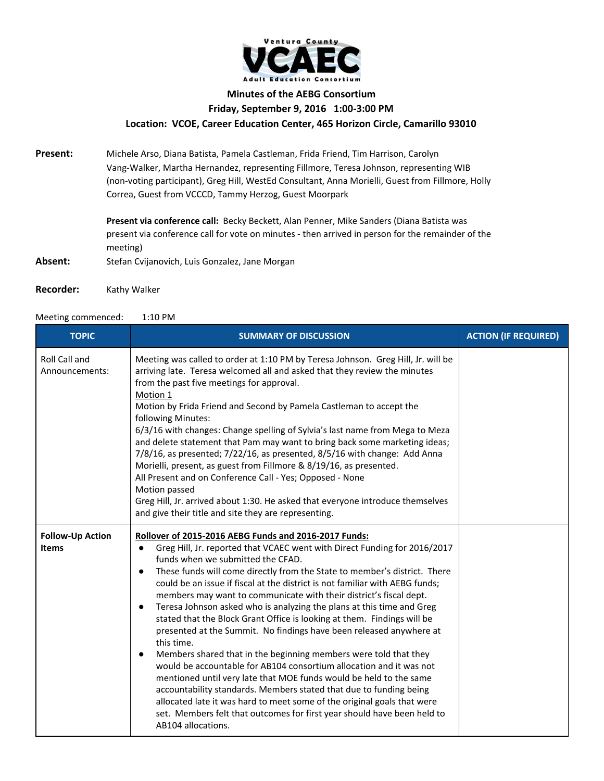

## **Minutes of the AEBG Consortium Friday, September 9, 2016 1:00-3:00 PM Location: VCOE, Career Education Center, 465 Horizon Circle, Camarillo 93010**

**Present:** Michele Arso, Diana Batista, Pamela Castleman, Frida Friend, Tim Harrison, Carolyn Vang-Walker, Martha Hernandez, representing Fillmore, Teresa Johnson, representing WIB (non-voting participant), Greg Hill, WestEd Consultant, Anna Morielli, Guest from Fillmore, Holly Correa, Guest from VCCCD, Tammy Herzog, Guest Moorpark

> **Present via conference call:** Becky Beckett, Alan Penner, Mike Sanders (Diana Batista was present via conference call for vote on minutes - then arrived in person for the remainder of the meeting)

- Absent: Stefan Cvijanovich, Luis Gonzalez, Jane Morgan
- **Recorder:** Kathy Walker

## Meeting commenced: 1:10 PM

| <b>TOPIC</b>                            | <b>SUMMARY OF DISCUSSION</b>                                                                                                                                                                                                                                                                                                                                                                                                                                                                                                                                                                                                                                                                                                                                                                                                                                                                                                                                                                                                                                                                                                                                  | <b>ACTION (IF REQUIRED)</b> |
|-----------------------------------------|---------------------------------------------------------------------------------------------------------------------------------------------------------------------------------------------------------------------------------------------------------------------------------------------------------------------------------------------------------------------------------------------------------------------------------------------------------------------------------------------------------------------------------------------------------------------------------------------------------------------------------------------------------------------------------------------------------------------------------------------------------------------------------------------------------------------------------------------------------------------------------------------------------------------------------------------------------------------------------------------------------------------------------------------------------------------------------------------------------------------------------------------------------------|-----------------------------|
| Roll Call and<br>Announcements:         | Meeting was called to order at 1:10 PM by Teresa Johnson. Greg Hill, Jr. will be<br>arriving late. Teresa welcomed all and asked that they review the minutes<br>from the past five meetings for approval.<br>Motion 1<br>Motion by Frida Friend and Second by Pamela Castleman to accept the<br>following Minutes:<br>6/3/16 with changes: Change spelling of Sylvia's last name from Mega to Meza<br>and delete statement that Pam may want to bring back some marketing ideas;<br>7/8/16, as presented; 7/22/16, as presented, 8/5/16 with change: Add Anna<br>Morielli, present, as guest from Fillmore & 8/19/16, as presented.<br>All Present and on Conference Call - Yes; Opposed - None<br>Motion passed<br>Greg Hill, Jr. arrived about 1:30. He asked that everyone introduce themselves<br>and give their title and site they are representing.                                                                                                                                                                                                                                                                                                   |                             |
| <b>Follow-Up Action</b><br><b>Items</b> | Rollover of 2015-2016 AEBG Funds and 2016-2017 Funds:<br>Greg Hill, Jr. reported that VCAEC went with Direct Funding for 2016/2017<br>$\bullet$<br>funds when we submitted the CFAD.<br>These funds will come directly from the State to member's district. There<br>$\bullet$<br>could be an issue if fiscal at the district is not familiar with AEBG funds;<br>members may want to communicate with their district's fiscal dept.<br>Teresa Johnson asked who is analyzing the plans at this time and Greg<br>$\bullet$<br>stated that the Block Grant Office is looking at them. Findings will be<br>presented at the Summit. No findings have been released anywhere at<br>this time.<br>Members shared that in the beginning members were told that they<br>would be accountable for AB104 consortium allocation and it was not<br>mentioned until very late that MOE funds would be held to the same<br>accountability standards. Members stated that due to funding being<br>allocated late it was hard to meet some of the original goals that were<br>set. Members felt that outcomes for first year should have been held to<br>AB104 allocations. |                             |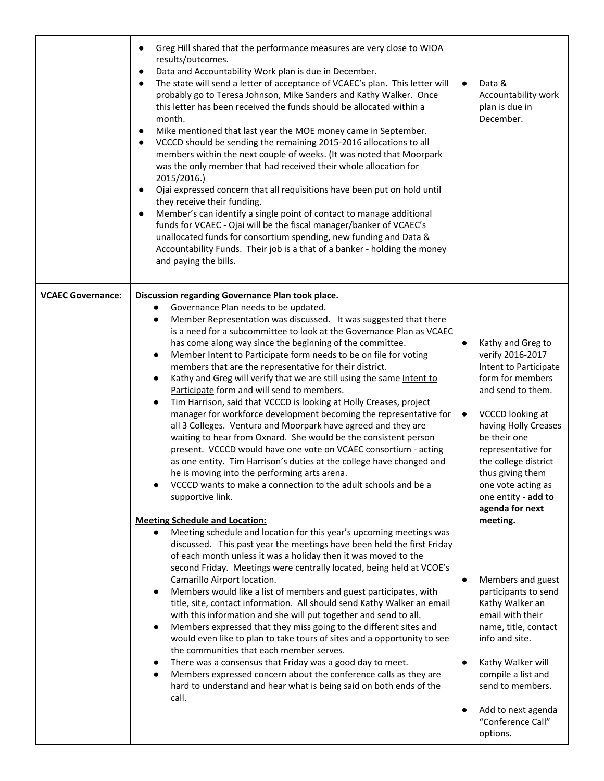|                          | Greg Hill shared that the performance measures are very close to WIOA<br>results/outcomes.<br>Data and Accountability Work plan is due in December.<br>$\bullet$<br>The state will send a letter of acceptance of VCAEC's plan. This letter will<br>probably go to Teresa Johnson, Mike Sanders and Kathy Walker. Once<br>this letter has been received the funds should be allocated within a<br>month.<br>Mike mentioned that last year the MOE money came in September.<br>$\bullet$<br>VCCCD should be sending the remaining 2015-2016 allocations to all<br>members within the next couple of weeks. (It was noted that Moorpark<br>was the only member that had received their whole allocation for<br>2015/2016.)<br>Ojai expressed concern that all requisitions have been put on hold until<br>they receive their funding.<br>Member's can identify a single point of contact to manage additional<br>funds for VCAEC - Ojai will be the fiscal manager/banker of VCAEC's<br>unallocated funds for consortium spending, new funding and Data &<br>Accountability Funds. Their job is a that of a banker - holding the money<br>and paying the bills. | $\bullet$              | Data &<br>Accountability work<br>plan is due in<br>December.                                                                                                                                                                                                                                          |
|--------------------------|---------------------------------------------------------------------------------------------------------------------------------------------------------------------------------------------------------------------------------------------------------------------------------------------------------------------------------------------------------------------------------------------------------------------------------------------------------------------------------------------------------------------------------------------------------------------------------------------------------------------------------------------------------------------------------------------------------------------------------------------------------------------------------------------------------------------------------------------------------------------------------------------------------------------------------------------------------------------------------------------------------------------------------------------------------------------------------------------------------------------------------------------------------------|------------------------|-------------------------------------------------------------------------------------------------------------------------------------------------------------------------------------------------------------------------------------------------------------------------------------------------------|
| <b>VCAEC Governance:</b> | Discussion regarding Governance Plan took place.<br>Governance Plan needs to be updated.<br>Member Representation was discussed. It was suggested that there<br>is a need for a subcommittee to look at the Governance Plan as VCAEC<br>has come along way since the beginning of the committee.<br>Member Intent to Participate form needs to be on file for voting<br>members that are the representative for their district.<br>Kathy and Greg will verify that we are still using the same Intent to<br>Participate form and will send to members.<br>Tim Harrison, said that VCCCD is looking at Holly Creases, project<br>manager for workforce development becoming the representative for<br>all 3 Colleges. Ventura and Moorpark have agreed and they are<br>waiting to hear from Oxnard. She would be the consistent person<br>present. VCCCD would have one vote on VCAEC consortium - acting<br>as one entity. Tim Harrison's duties at the college have changed and<br>he is moving into the performing arts arena.<br>VCCCD wants to make a connection to the adult schools and be a<br>supportive link.                                        | $\bullet$<br>$\bullet$ | Kathy and Greg to<br>verify 2016-2017<br>Intent to Participate<br>form for members<br>and send to them.<br>VCCCD looking at<br>having Holly Creases<br>be their one<br>representative for<br>the college district<br>thus giving them<br>one vote acting as<br>one entity - add to<br>agenda for next |
|                          | <b>Meeting Schedule and Location:</b><br>Meeting schedule and location for this year's upcoming meetings was<br>discussed. This past year the meetings have been held the first Friday<br>of each month unless it was a holiday then it was moved to the<br>second Friday. Meetings were centrally located, being held at VCOE's<br>Camarillo Airport location.<br>Members would like a list of members and guest participates, with<br>title, site, contact information. All should send Kathy Walker an email<br>with this information and she will put together and send to all.<br>Members expressed that they miss going to the different sites and<br>would even like to plan to take tours of sites and a opportunity to see<br>the communities that each member serves.<br>There was a consensus that Friday was a good day to meet.<br>Members expressed concern about the conference calls as they are<br>hard to understand and hear what is being said on both ends of the<br>call.                                                                                                                                                               | $\bullet$<br>$\bullet$ | meeting.<br>Members and guest<br>participants to send<br>Kathy Walker an<br>email with their<br>name, title, contact<br>info and site.<br>Kathy Walker will<br>compile a list and<br>send to members.<br>Add to next agenda<br>"Conference Call"<br>options.                                          |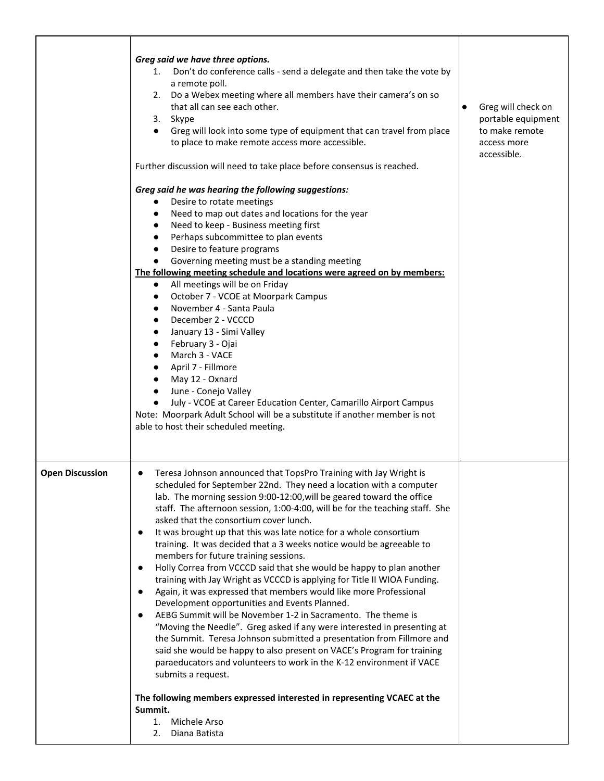|                        | Greg said we have three options.<br>1. Don't do conference calls - send a delegate and then take the vote by<br>a remote poll.<br>2. Do a Webex meeting where all members have their camera's on so<br>that all can see each other.<br>3. Skype<br>• Greg will look into some type of equipment that can travel from place<br>to place to make remote access more accessible.<br>Further discussion will need to take place before consensus is reached.<br>Greg said he was hearing the following suggestions:                                                                                                                                                                                                                                                                                                                                                                                                                                                                                                                                                                                                                                                                                                                                | Greg will check on<br>portable equipment<br>to make remote<br>access more<br>accessible. |
|------------------------|------------------------------------------------------------------------------------------------------------------------------------------------------------------------------------------------------------------------------------------------------------------------------------------------------------------------------------------------------------------------------------------------------------------------------------------------------------------------------------------------------------------------------------------------------------------------------------------------------------------------------------------------------------------------------------------------------------------------------------------------------------------------------------------------------------------------------------------------------------------------------------------------------------------------------------------------------------------------------------------------------------------------------------------------------------------------------------------------------------------------------------------------------------------------------------------------------------------------------------------------|------------------------------------------------------------------------------------------|
|                        | Desire to rotate meetings<br>$\bullet$<br>Need to map out dates and locations for the year<br>$\bullet$<br>Need to keep - Business meeting first<br>$\bullet$<br>Perhaps subcommittee to plan events<br>$\bullet$<br>Desire to feature programs<br>$\bullet$<br>Governing meeting must be a standing meeting<br>$\bullet$<br>The following meeting schedule and locations were agreed on by members:<br>All meetings will be on Friday<br>$\bullet$<br>October 7 - VCOE at Moorpark Campus<br>$\bullet$<br>November 4 - Santa Paula                                                                                                                                                                                                                                                                                                                                                                                                                                                                                                                                                                                                                                                                                                            |                                                                                          |
|                        | $\bullet$<br>December 2 - VCCCD<br>$\bullet$<br>January 13 - Simi Valley<br>$\bullet$<br>February 3 - Ojai<br>$\bullet$<br>March 3 - VACE<br>$\bullet$<br>April 7 - Fillmore<br>$\bullet$<br>May 12 - Oxnard<br>$\bullet$<br>June - Conejo Valley<br>$\bullet$<br>July - VCOE at Career Education Center, Camarillo Airport Campus<br>$\bullet$<br>Note: Moorpark Adult School will be a substitute if another member is not<br>able to host their scheduled meeting.                                                                                                                                                                                                                                                                                                                                                                                                                                                                                                                                                                                                                                                                                                                                                                          |                                                                                          |
| <b>Open Discussion</b> | Teresa Johnson announced that TopsPro Training with Jay Wright is<br>$\bullet$<br>scheduled for September 22nd. They need a location with a computer<br>lab. The morning session 9:00-12:00, will be geared toward the office<br>staff. The afternoon session, 1:00-4:00, will be for the teaching staff. She<br>asked that the consortium cover lunch.<br>It was brought up that this was late notice for a whole consortium<br>$\bullet$<br>training. It was decided that a 3 weeks notice would be agreeable to<br>members for future training sessions.<br>Holly Correa from VCCCD said that she would be happy to plan another<br>$\bullet$<br>training with Jay Wright as VCCCD is applying for Title II WIOA Funding.<br>Again, it was expressed that members would like more Professional<br>Development opportunities and Events Planned.<br>AEBG Summit will be November 1-2 in Sacramento. The theme is<br>"Moving the Needle". Greg asked if any were interested in presenting at<br>the Summit. Teresa Johnson submitted a presentation from Fillmore and<br>said she would be happy to also present on VACE's Program for training<br>paraeducators and volunteers to work in the K-12 environment if VACE<br>submits a request. |                                                                                          |
|                        | The following members expressed interested in representing VCAEC at the<br>Summit.<br>1. Michele Arso<br>2. Diana Batista                                                                                                                                                                                                                                                                                                                                                                                                                                                                                                                                                                                                                                                                                                                                                                                                                                                                                                                                                                                                                                                                                                                      |                                                                                          |